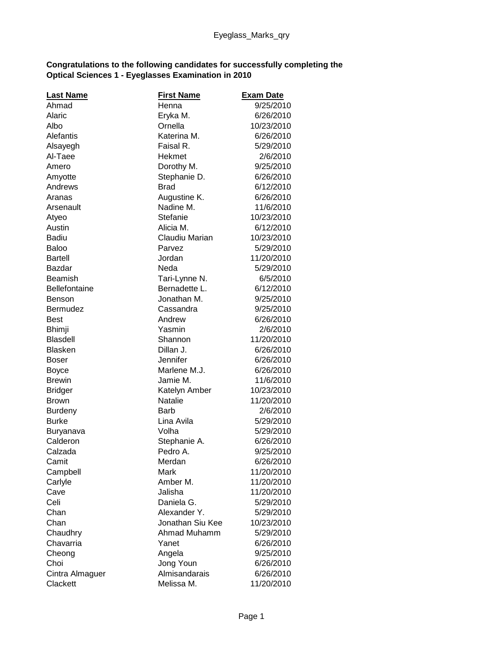## **Congratulations to the following candidates for successfully completing the Optical Sciences 1 - Eyeglasses Examination in 2010**

| <b>Last Name</b>     | <b>First Name</b> | <b>Exam Date</b> |
|----------------------|-------------------|------------------|
| Ahmad                | Henna             | 9/25/2010        |
| Alaric               | Eryka M.          | 6/26/2010        |
| Albo                 | Ornella           | 10/23/2010       |
| Alefantis            | Katerina M.       | 6/26/2010        |
| Alsayegh             | Faisal R.         | 5/29/2010        |
| Al-Taee              | Hekmet            | 2/6/2010         |
| Amero                | Dorothy M.        | 9/25/2010        |
| Amyotte              | Stephanie D.      | 6/26/2010        |
| Andrews              | <b>Brad</b>       | 6/12/2010        |
| Aranas               | Augustine K.      | 6/26/2010        |
| Arsenault            | Nadine M.         | 11/6/2010        |
| Atyeo                | Stefanie          | 10/23/2010       |
| Austin               | Alicia M.         | 6/12/2010        |
| <b>Badiu</b>         | Claudiu Marian    | 10/23/2010       |
| <b>Baloo</b>         | Parvez            | 5/29/2010        |
| <b>Bartell</b>       | Jordan            | 11/20/2010       |
| Bazdar               | Neda              | 5/29/2010        |
| <b>Beamish</b>       | Tari-Lynne N.     | 6/5/2010         |
| <b>Bellefontaine</b> | Bernadette L.     | 6/12/2010        |
| Benson               | Jonathan M.       | 9/25/2010        |
| Bermudez             | Cassandra         | 9/25/2010        |
| <b>Best</b>          | Andrew            | 6/26/2010        |
| <b>Bhimji</b>        | Yasmin            | 2/6/2010         |
| <b>Blasdell</b>      | Shannon           | 11/20/2010       |
| <b>Blasken</b>       | Dillan J.         | 6/26/2010        |
| Boser                | Jennifer          | 6/26/2010        |
| <b>Boyce</b>         | Marlene M.J.      | 6/26/2010        |
| <b>Brewin</b>        | Jamie M.          | 11/6/2010        |
| <b>Bridger</b>       | Katelyn Amber     | 10/23/2010       |
| <b>Brown</b>         | <b>Natalie</b>    | 11/20/2010       |
| <b>Burdeny</b>       | <b>Barb</b>       | 2/6/2010         |
| <b>Burke</b>         | Lina Avila        | 5/29/2010        |
| Buryanava            | Volha             | 5/29/2010        |
| Calderon             | Stephanie A.      | 6/26/2010        |
| Calzada              | Pedro A.          | 9/25/2010        |
| Camit                | Merdan            | 6/26/2010        |
| Campbell             | Mark              | 11/20/2010       |
| Carlyle              | Amber M.          | 11/20/2010       |
| Cave                 | Jalisha           | 11/20/2010       |
| Celi                 | Daniela G.        | 5/29/2010        |
| Chan                 | Alexander Y.      | 5/29/2010        |
| Chan                 | Jonathan Siu Kee  | 10/23/2010       |
| Chaudhry             | Ahmad Muhamm      | 5/29/2010        |
| Chavarria            | Yanet             | 6/26/2010        |
| Cheong               | Angela            | 9/25/2010        |
| Choi                 | Jong Youn         | 6/26/2010        |
| Cintra Almaguer      | Almisandarais     | 6/26/2010        |
| Clackett             | Melissa M.        | 11/20/2010       |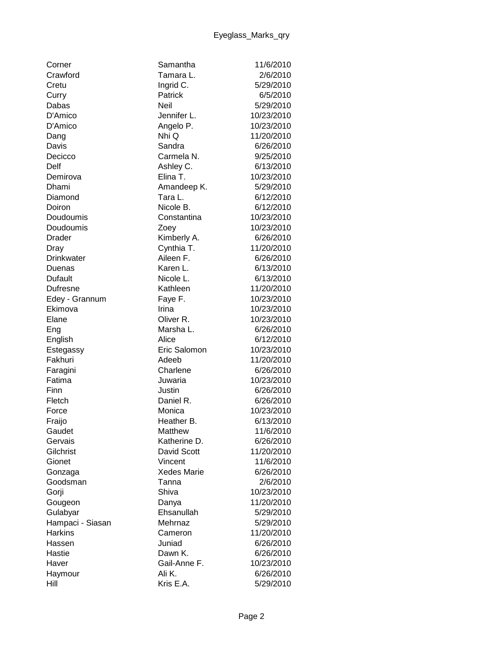| Corner           | Samantha           | 11/6/2010  |
|------------------|--------------------|------------|
| Crawford         | Tamara L.          | 2/6/2010   |
| Cretu            | Ingrid C.          | 5/29/2010  |
| Curry            | Patrick            | 6/5/2010   |
| Dabas            | <b>Neil</b>        | 5/29/2010  |
| D'Amico          | Jennifer L.        | 10/23/2010 |
| D'Amico          | Angelo P.          | 10/23/2010 |
| Dang             | Nhi Q              | 11/20/2010 |
| Davis            | Sandra             | 6/26/2010  |
| Decicco          | Carmela N.         | 9/25/2010  |
| Delf             | Ashley C.          | 6/13/2010  |
| Demirova         | Elina T.           | 10/23/2010 |
| Dhami            | Amandeep K.        | 5/29/2010  |
| Diamond          | Tara L.            | 6/12/2010  |
| Doiron           | Nicole B.          | 6/12/2010  |
| Doudoumis        | Constantina        | 10/23/2010 |
| Doudoumis        | Zoey               | 10/23/2010 |
| Drader           | Kimberly A.        | 6/26/2010  |
| Dray             | Cynthia T.         | 11/20/2010 |
| Drinkwater       | Aileen F.          | 6/26/2010  |
| Duenas           | Karen L.           | 6/13/2010  |
| Dufault          | Nicole L.          | 6/13/2010  |
| <b>Dufresne</b>  | Kathleen           | 11/20/2010 |
| Edey - Grannum   | Faye F.            | 10/23/2010 |
| Ekimova          | Irina              | 10/23/2010 |
| Elane            | Oliver R.          | 10/23/2010 |
| Eng              | Marsha L.          | 6/26/2010  |
| English          | Alice              | 6/12/2010  |
| Estegassy        | Eric Salomon       | 10/23/2010 |
| Fakhuri          | Adeeb              | 11/20/2010 |
| Faragini         | Charlene           | 6/26/2010  |
| Fatima           | Juwaria            | 10/23/2010 |
| Finn             | Justin             | 6/26/2010  |
| Fletch           | Daniel R.          | 6/26/2010  |
| Force            | Monica             | 10/23/2010 |
| Fraijo           | Heather B.         | 6/13/2010  |
| Gaudet           | Matthew            | 11/6/2010  |
| Gervais          | Katherine D.       | 6/26/2010  |
| Gilchrist        | David Scott        | 11/20/2010 |
| Gionet           | Vincent            | 11/6/2010  |
| Gonzaga          | <b>Xedes Marie</b> | 6/26/2010  |
| Goodsman         | Tanna              | 2/6/2010   |
| Gorji            | Shiva              | 10/23/2010 |
| Gougeon          | Danya              | 11/20/2010 |
| Gulabyar         | Ehsanullah         | 5/29/2010  |
| Hampaci - Siasan | Mehrnaz            | 5/29/2010  |
| <b>Harkins</b>   | Cameron            | 11/20/2010 |
| Hassen           | Juniad             | 6/26/2010  |
| Hastie           | Dawn K.            | 6/26/2010  |
| Haver            | Gail-Anne F.       | 10/23/2010 |
| Haymour          | Ali K.             | 6/26/2010  |
| Hill             | Kris E.A.          | 5/29/2010  |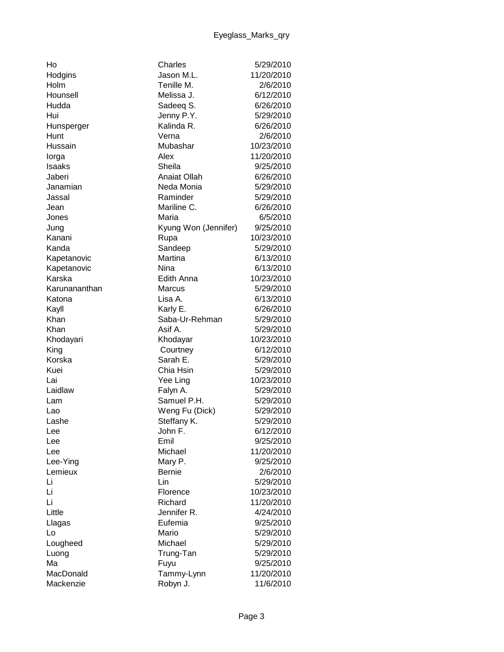| Ho            | Charles              | 5/29/2010  |
|---------------|----------------------|------------|
| Hodgins       | Jason M.L.           | 11/20/2010 |
| Holm          | Tenille M.           | 2/6/2010   |
| Hounsell      | Melissa J.           | 6/12/2010  |
| Hudda         | Sadeeq S.            | 6/26/2010  |
| Hui           | Jenny P.Y.           | 5/29/2010  |
| Hunsperger    | Kalinda R.           | 6/26/2010  |
| Hunt          | Verna                | 2/6/2010   |
| Hussain       | Mubashar             | 10/23/2010 |
| lorga         | Alex                 | 11/20/2010 |
| <b>Isaaks</b> | Sheila               | 9/25/2010  |
| Jaberi        | <b>Anaiat Ollah</b>  | 6/26/2010  |
| Janamian      | Neda Monia           | 5/29/2010  |
| Jassal        | Raminder             | 5/29/2010  |
| Jean          | Mariline C.          | 6/26/2010  |
| Jones         | Maria                | 6/5/2010   |
| Jung          | Kyung Won (Jennifer) | 9/25/2010  |
| Kanani        | Rupa                 | 10/23/2010 |
| Kanda         | Sandeep              | 5/29/2010  |
| Kapetanovic   | Martina              | 6/13/2010  |
| Kapetanovic   | Nina                 | 6/13/2010  |
| Karska        | Edith Anna           | 10/23/2010 |
| Karunananthan | <b>Marcus</b>        | 5/29/2010  |
| Katona        | Lisa A.              | 6/13/2010  |
| Kayll         | Karly E.             | 6/26/2010  |
| Khan          | Saba-Ur-Rehman       | 5/29/2010  |
| Khan          | Asif A.              | 5/29/2010  |
| Khodayari     | Khodayar             | 10/23/2010 |
| King          | Courtney             | 6/12/2010  |
| Korska        | Sarah E.             | 5/29/2010  |
| Kuei          | Chia Hsin            | 5/29/2010  |
| Lai           | Yee Ling             | 10/23/2010 |
| Laidlaw       | Falyn A.             | 5/29/2010  |
| Lam           | Samuel P.H.          | 5/29/2010  |
| Lao           | Weng Fu (Dick)       | 5/29/2010  |
| Lashe         | Steffany K.          | 5/29/2010  |
| Lee           | John F.              | 6/12/2010  |
| Lee           | Emil                 | 9/25/2010  |
| Lee           | Michael              | 11/20/2010 |
| Lee-Ying      | Mary P.              | 9/25/2010  |
| Lemieux       | <b>Bernie</b>        | 2/6/2010   |
| Li            | Lin                  | 5/29/2010  |
| Li            | Florence             | 10/23/2010 |
| Li            | Richard              | 11/20/2010 |
| Little        | Jennifer R.          | 4/24/2010  |
| Llagas        | Eufemia              | 9/25/2010  |
| Lo            | Mario                | 5/29/2010  |
| Lougheed      | Michael              | 5/29/2010  |
| Luong         | Trung-Tan            | 5/29/2010  |
| Ma            | Fuyu                 | 9/25/2010  |
| MacDonald     | Tammy-Lynn           | 11/20/2010 |
| Mackenzie     | Robyn J.             | 11/6/2010  |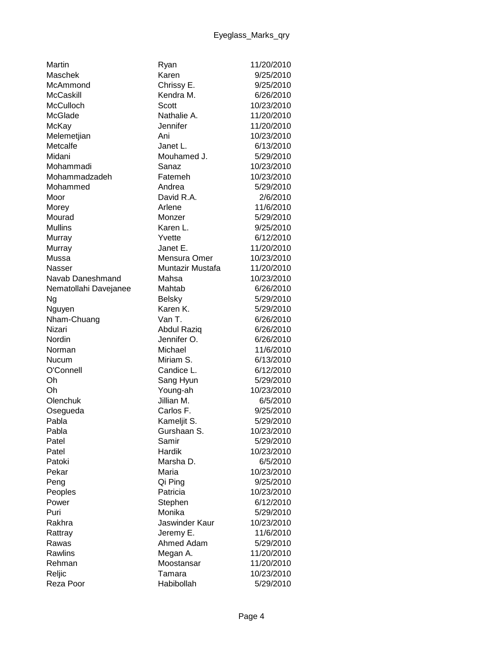| Maschek<br>Karen<br>9/25/2010<br>McAmmond<br>Chrissy E.<br>9/25/2010<br><b>McCaskill</b><br>Kendra M.<br>6/26/2010<br>McCulloch<br>Scott<br>10/23/2010<br>McGlade<br>Nathalie A.<br>11/20/2010<br>Jennifer<br>11/20/2010<br>McKay<br>Melemetjian<br>10/23/2010<br>Ani<br>Metcalfe<br>6/13/2010<br>Janet L.<br>Midani<br>Mouhamed J.<br>5/29/2010<br>10/23/2010<br>Mohammadi<br>Sanaz<br>Mohammadzadeh<br>Fatemeh<br>10/23/2010<br>Andrea<br>5/29/2010<br>Mohammed<br>David R.A.<br>2/6/2010<br>Moor<br>11/6/2010<br>Morey<br>Arlene<br>Mourad<br>5/29/2010<br>Monzer<br><b>Mullins</b><br>Karen L.<br>9/25/2010<br>6/12/2010<br>Murray<br>Yvette<br>Janet E.<br>11/20/2010<br>Murray<br>Mussa<br>Mensura Omer<br>10/23/2010<br>Muntazir Mustafa<br>11/20/2010<br>Nasser<br>Navab Daneshmand<br>Mahsa<br>10/23/2010<br>Mahtab<br>6/26/2010<br>Nematollahi Davejanee<br>5/29/2010<br>Ng<br><b>Belsky</b><br>Karen K.<br>5/29/2010<br>Nguyen<br>Van T.<br>6/26/2010<br>Nham-Chuang<br>Nizari<br><b>Abdul Raziq</b><br>6/26/2010<br>Nordin<br>Jennifer O.<br>6/26/2010<br>Michael<br>11/6/2010<br>Norman<br>Miriam S.<br>6/13/2010<br><b>Nucum</b><br>O'Connell<br>Candice L.<br>6/12/2010<br>Oh<br>5/29/2010<br>Sang Hyun<br>Oh<br>Young-ah<br>10/23/2010<br>Jillian M.<br>Olenchuk<br>6/5/2010<br>Carlos F.<br>9/25/2010<br>Osegueda<br>Pabla<br>Kameljit S.<br>5/29/2010<br>Pabla<br>10/23/2010<br>Gurshaan S.<br>Samir<br>Patel<br>5/29/2010<br>Hardik<br>10/23/2010<br>Patel<br>Marsha D.<br>6/5/2010<br>Patoki<br>Pekar<br>Maria<br>10/23/2010<br>9/25/2010<br>Peng<br>Qi Ping<br>Patricia<br>10/23/2010<br>Peoples<br>6/12/2010<br>Power<br>Stephen<br>Monika<br>Puri<br>5/29/2010<br>Jaswinder Kaur<br>10/23/2010<br>Rakhra<br>11/6/2010<br>Jeremy E.<br>Rattray<br>Ahmed Adam<br>5/29/2010<br>Rawas<br>Rawlins<br>Megan A.<br>11/20/2010<br>Moostansar<br>11/20/2010<br>Rehman<br>10/23/2010<br>Reljic<br>Tamara<br>Reza Poor<br>Habibollah<br>5/29/2010 | Martin | Ryan | 11/20/2010 |
|---------------------------------------------------------------------------------------------------------------------------------------------------------------------------------------------------------------------------------------------------------------------------------------------------------------------------------------------------------------------------------------------------------------------------------------------------------------------------------------------------------------------------------------------------------------------------------------------------------------------------------------------------------------------------------------------------------------------------------------------------------------------------------------------------------------------------------------------------------------------------------------------------------------------------------------------------------------------------------------------------------------------------------------------------------------------------------------------------------------------------------------------------------------------------------------------------------------------------------------------------------------------------------------------------------------------------------------------------------------------------------------------------------------------------------------------------------------------------------------------------------------------------------------------------------------------------------------------------------------------------------------------------------------------------------------------------------------------------------------------------------------------------------------------------------------------------------------------------------------------------------------------------------------------------------------------------------------|--------|------|------------|
|                                                                                                                                                                                                                                                                                                                                                                                                                                                                                                                                                                                                                                                                                                                                                                                                                                                                                                                                                                                                                                                                                                                                                                                                                                                                                                                                                                                                                                                                                                                                                                                                                                                                                                                                                                                                                                                                                                                                                               |        |      |            |
|                                                                                                                                                                                                                                                                                                                                                                                                                                                                                                                                                                                                                                                                                                                                                                                                                                                                                                                                                                                                                                                                                                                                                                                                                                                                                                                                                                                                                                                                                                                                                                                                                                                                                                                                                                                                                                                                                                                                                               |        |      |            |
|                                                                                                                                                                                                                                                                                                                                                                                                                                                                                                                                                                                                                                                                                                                                                                                                                                                                                                                                                                                                                                                                                                                                                                                                                                                                                                                                                                                                                                                                                                                                                                                                                                                                                                                                                                                                                                                                                                                                                               |        |      |            |
|                                                                                                                                                                                                                                                                                                                                                                                                                                                                                                                                                                                                                                                                                                                                                                                                                                                                                                                                                                                                                                                                                                                                                                                                                                                                                                                                                                                                                                                                                                                                                                                                                                                                                                                                                                                                                                                                                                                                                               |        |      |            |
|                                                                                                                                                                                                                                                                                                                                                                                                                                                                                                                                                                                                                                                                                                                                                                                                                                                                                                                                                                                                                                                                                                                                                                                                                                                                                                                                                                                                                                                                                                                                                                                                                                                                                                                                                                                                                                                                                                                                                               |        |      |            |
|                                                                                                                                                                                                                                                                                                                                                                                                                                                                                                                                                                                                                                                                                                                                                                                                                                                                                                                                                                                                                                                                                                                                                                                                                                                                                                                                                                                                                                                                                                                                                                                                                                                                                                                                                                                                                                                                                                                                                               |        |      |            |
|                                                                                                                                                                                                                                                                                                                                                                                                                                                                                                                                                                                                                                                                                                                                                                                                                                                                                                                                                                                                                                                                                                                                                                                                                                                                                                                                                                                                                                                                                                                                                                                                                                                                                                                                                                                                                                                                                                                                                               |        |      |            |
|                                                                                                                                                                                                                                                                                                                                                                                                                                                                                                                                                                                                                                                                                                                                                                                                                                                                                                                                                                                                                                                                                                                                                                                                                                                                                                                                                                                                                                                                                                                                                                                                                                                                                                                                                                                                                                                                                                                                                               |        |      |            |
|                                                                                                                                                                                                                                                                                                                                                                                                                                                                                                                                                                                                                                                                                                                                                                                                                                                                                                                                                                                                                                                                                                                                                                                                                                                                                                                                                                                                                                                                                                                                                                                                                                                                                                                                                                                                                                                                                                                                                               |        |      |            |
|                                                                                                                                                                                                                                                                                                                                                                                                                                                                                                                                                                                                                                                                                                                                                                                                                                                                                                                                                                                                                                                                                                                                                                                                                                                                                                                                                                                                                                                                                                                                                                                                                                                                                                                                                                                                                                                                                                                                                               |        |      |            |
|                                                                                                                                                                                                                                                                                                                                                                                                                                                                                                                                                                                                                                                                                                                                                                                                                                                                                                                                                                                                                                                                                                                                                                                                                                                                                                                                                                                                                                                                                                                                                                                                                                                                                                                                                                                                                                                                                                                                                               |        |      |            |
|                                                                                                                                                                                                                                                                                                                                                                                                                                                                                                                                                                                                                                                                                                                                                                                                                                                                                                                                                                                                                                                                                                                                                                                                                                                                                                                                                                                                                                                                                                                                                                                                                                                                                                                                                                                                                                                                                                                                                               |        |      |            |
|                                                                                                                                                                                                                                                                                                                                                                                                                                                                                                                                                                                                                                                                                                                                                                                                                                                                                                                                                                                                                                                                                                                                                                                                                                                                                                                                                                                                                                                                                                                                                                                                                                                                                                                                                                                                                                                                                                                                                               |        |      |            |
|                                                                                                                                                                                                                                                                                                                                                                                                                                                                                                                                                                                                                                                                                                                                                                                                                                                                                                                                                                                                                                                                                                                                                                                                                                                                                                                                                                                                                                                                                                                                                                                                                                                                                                                                                                                                                                                                                                                                                               |        |      |            |
|                                                                                                                                                                                                                                                                                                                                                                                                                                                                                                                                                                                                                                                                                                                                                                                                                                                                                                                                                                                                                                                                                                                                                                                                                                                                                                                                                                                                                                                                                                                                                                                                                                                                                                                                                                                                                                                                                                                                                               |        |      |            |
|                                                                                                                                                                                                                                                                                                                                                                                                                                                                                                                                                                                                                                                                                                                                                                                                                                                                                                                                                                                                                                                                                                                                                                                                                                                                                                                                                                                                                                                                                                                                                                                                                                                                                                                                                                                                                                                                                                                                                               |        |      |            |
|                                                                                                                                                                                                                                                                                                                                                                                                                                                                                                                                                                                                                                                                                                                                                                                                                                                                                                                                                                                                                                                                                                                                                                                                                                                                                                                                                                                                                                                                                                                                                                                                                                                                                                                                                                                                                                                                                                                                                               |        |      |            |
|                                                                                                                                                                                                                                                                                                                                                                                                                                                                                                                                                                                                                                                                                                                                                                                                                                                                                                                                                                                                                                                                                                                                                                                                                                                                                                                                                                                                                                                                                                                                                                                                                                                                                                                                                                                                                                                                                                                                                               |        |      |            |
|                                                                                                                                                                                                                                                                                                                                                                                                                                                                                                                                                                                                                                                                                                                                                                                                                                                                                                                                                                                                                                                                                                                                                                                                                                                                                                                                                                                                                                                                                                                                                                                                                                                                                                                                                                                                                                                                                                                                                               |        |      |            |
|                                                                                                                                                                                                                                                                                                                                                                                                                                                                                                                                                                                                                                                                                                                                                                                                                                                                                                                                                                                                                                                                                                                                                                                                                                                                                                                                                                                                                                                                                                                                                                                                                                                                                                                                                                                                                                                                                                                                                               |        |      |            |
|                                                                                                                                                                                                                                                                                                                                                                                                                                                                                                                                                                                                                                                                                                                                                                                                                                                                                                                                                                                                                                                                                                                                                                                                                                                                                                                                                                                                                                                                                                                                                                                                                                                                                                                                                                                                                                                                                                                                                               |        |      |            |
|                                                                                                                                                                                                                                                                                                                                                                                                                                                                                                                                                                                                                                                                                                                                                                                                                                                                                                                                                                                                                                                                                                                                                                                                                                                                                                                                                                                                                                                                                                                                                                                                                                                                                                                                                                                                                                                                                                                                                               |        |      |            |
|                                                                                                                                                                                                                                                                                                                                                                                                                                                                                                                                                                                                                                                                                                                                                                                                                                                                                                                                                                                                                                                                                                                                                                                                                                                                                                                                                                                                                                                                                                                                                                                                                                                                                                                                                                                                                                                                                                                                                               |        |      |            |
|                                                                                                                                                                                                                                                                                                                                                                                                                                                                                                                                                                                                                                                                                                                                                                                                                                                                                                                                                                                                                                                                                                                                                                                                                                                                                                                                                                                                                                                                                                                                                                                                                                                                                                                                                                                                                                                                                                                                                               |        |      |            |
|                                                                                                                                                                                                                                                                                                                                                                                                                                                                                                                                                                                                                                                                                                                                                                                                                                                                                                                                                                                                                                                                                                                                                                                                                                                                                                                                                                                                                                                                                                                                                                                                                                                                                                                                                                                                                                                                                                                                                               |        |      |            |
|                                                                                                                                                                                                                                                                                                                                                                                                                                                                                                                                                                                                                                                                                                                                                                                                                                                                                                                                                                                                                                                                                                                                                                                                                                                                                                                                                                                                                                                                                                                                                                                                                                                                                                                                                                                                                                                                                                                                                               |        |      |            |
|                                                                                                                                                                                                                                                                                                                                                                                                                                                                                                                                                                                                                                                                                                                                                                                                                                                                                                                                                                                                                                                                                                                                                                                                                                                                                                                                                                                                                                                                                                                                                                                                                                                                                                                                                                                                                                                                                                                                                               |        |      |            |
|                                                                                                                                                                                                                                                                                                                                                                                                                                                                                                                                                                                                                                                                                                                                                                                                                                                                                                                                                                                                                                                                                                                                                                                                                                                                                                                                                                                                                                                                                                                                                                                                                                                                                                                                                                                                                                                                                                                                                               |        |      |            |
|                                                                                                                                                                                                                                                                                                                                                                                                                                                                                                                                                                                                                                                                                                                                                                                                                                                                                                                                                                                                                                                                                                                                                                                                                                                                                                                                                                                                                                                                                                                                                                                                                                                                                                                                                                                                                                                                                                                                                               |        |      |            |
|                                                                                                                                                                                                                                                                                                                                                                                                                                                                                                                                                                                                                                                                                                                                                                                                                                                                                                                                                                                                                                                                                                                                                                                                                                                                                                                                                                                                                                                                                                                                                                                                                                                                                                                                                                                                                                                                                                                                                               |        |      |            |
|                                                                                                                                                                                                                                                                                                                                                                                                                                                                                                                                                                                                                                                                                                                                                                                                                                                                                                                                                                                                                                                                                                                                                                                                                                                                                                                                                                                                                                                                                                                                                                                                                                                                                                                                                                                                                                                                                                                                                               |        |      |            |
|                                                                                                                                                                                                                                                                                                                                                                                                                                                                                                                                                                                                                                                                                                                                                                                                                                                                                                                                                                                                                                                                                                                                                                                                                                                                                                                                                                                                                                                                                                                                                                                                                                                                                                                                                                                                                                                                                                                                                               |        |      |            |
|                                                                                                                                                                                                                                                                                                                                                                                                                                                                                                                                                                                                                                                                                                                                                                                                                                                                                                                                                                                                                                                                                                                                                                                                                                                                                                                                                                                                                                                                                                                                                                                                                                                                                                                                                                                                                                                                                                                                                               |        |      |            |
|                                                                                                                                                                                                                                                                                                                                                                                                                                                                                                                                                                                                                                                                                                                                                                                                                                                                                                                                                                                                                                                                                                                                                                                                                                                                                                                                                                                                                                                                                                                                                                                                                                                                                                                                                                                                                                                                                                                                                               |        |      |            |
|                                                                                                                                                                                                                                                                                                                                                                                                                                                                                                                                                                                                                                                                                                                                                                                                                                                                                                                                                                                                                                                                                                                                                                                                                                                                                                                                                                                                                                                                                                                                                                                                                                                                                                                                                                                                                                                                                                                                                               |        |      |            |
|                                                                                                                                                                                                                                                                                                                                                                                                                                                                                                                                                                                                                                                                                                                                                                                                                                                                                                                                                                                                                                                                                                                                                                                                                                                                                                                                                                                                                                                                                                                                                                                                                                                                                                                                                                                                                                                                                                                                                               |        |      |            |
|                                                                                                                                                                                                                                                                                                                                                                                                                                                                                                                                                                                                                                                                                                                                                                                                                                                                                                                                                                                                                                                                                                                                                                                                                                                                                                                                                                                                                                                                                                                                                                                                                                                                                                                                                                                                                                                                                                                                                               |        |      |            |
|                                                                                                                                                                                                                                                                                                                                                                                                                                                                                                                                                                                                                                                                                                                                                                                                                                                                                                                                                                                                                                                                                                                                                                                                                                                                                                                                                                                                                                                                                                                                                                                                                                                                                                                                                                                                                                                                                                                                                               |        |      |            |
|                                                                                                                                                                                                                                                                                                                                                                                                                                                                                                                                                                                                                                                                                                                                                                                                                                                                                                                                                                                                                                                                                                                                                                                                                                                                                                                                                                                                                                                                                                                                                                                                                                                                                                                                                                                                                                                                                                                                                               |        |      |            |
|                                                                                                                                                                                                                                                                                                                                                                                                                                                                                                                                                                                                                                                                                                                                                                                                                                                                                                                                                                                                                                                                                                                                                                                                                                                                                                                                                                                                                                                                                                                                                                                                                                                                                                                                                                                                                                                                                                                                                               |        |      |            |
|                                                                                                                                                                                                                                                                                                                                                                                                                                                                                                                                                                                                                                                                                                                                                                                                                                                                                                                                                                                                                                                                                                                                                                                                                                                                                                                                                                                                                                                                                                                                                                                                                                                                                                                                                                                                                                                                                                                                                               |        |      |            |
|                                                                                                                                                                                                                                                                                                                                                                                                                                                                                                                                                                                                                                                                                                                                                                                                                                                                                                                                                                                                                                                                                                                                                                                                                                                                                                                                                                                                                                                                                                                                                                                                                                                                                                                                                                                                                                                                                                                                                               |        |      |            |
|                                                                                                                                                                                                                                                                                                                                                                                                                                                                                                                                                                                                                                                                                                                                                                                                                                                                                                                                                                                                                                                                                                                                                                                                                                                                                                                                                                                                                                                                                                                                                                                                                                                                                                                                                                                                                                                                                                                                                               |        |      |            |
|                                                                                                                                                                                                                                                                                                                                                                                                                                                                                                                                                                                                                                                                                                                                                                                                                                                                                                                                                                                                                                                                                                                                                                                                                                                                                                                                                                                                                                                                                                                                                                                                                                                                                                                                                                                                                                                                                                                                                               |        |      |            |
|                                                                                                                                                                                                                                                                                                                                                                                                                                                                                                                                                                                                                                                                                                                                                                                                                                                                                                                                                                                                                                                                                                                                                                                                                                                                                                                                                                                                                                                                                                                                                                                                                                                                                                                                                                                                                                                                                                                                                               |        |      |            |
|                                                                                                                                                                                                                                                                                                                                                                                                                                                                                                                                                                                                                                                                                                                                                                                                                                                                                                                                                                                                                                                                                                                                                                                                                                                                                                                                                                                                                                                                                                                                                                                                                                                                                                                                                                                                                                                                                                                                                               |        |      |            |
|                                                                                                                                                                                                                                                                                                                                                                                                                                                                                                                                                                                                                                                                                                                                                                                                                                                                                                                                                                                                                                                                                                                                                                                                                                                                                                                                                                                                                                                                                                                                                                                                                                                                                                                                                                                                                                                                                                                                                               |        |      |            |
|                                                                                                                                                                                                                                                                                                                                                                                                                                                                                                                                                                                                                                                                                                                                                                                                                                                                                                                                                                                                                                                                                                                                                                                                                                                                                                                                                                                                                                                                                                                                                                                                                                                                                                                                                                                                                                                                                                                                                               |        |      |            |
|                                                                                                                                                                                                                                                                                                                                                                                                                                                                                                                                                                                                                                                                                                                                                                                                                                                                                                                                                                                                                                                                                                                                                                                                                                                                                                                                                                                                                                                                                                                                                                                                                                                                                                                                                                                                                                                                                                                                                               |        |      |            |
|                                                                                                                                                                                                                                                                                                                                                                                                                                                                                                                                                                                                                                                                                                                                                                                                                                                                                                                                                                                                                                                                                                                                                                                                                                                                                                                                                                                                                                                                                                                                                                                                                                                                                                                                                                                                                                                                                                                                                               |        |      |            |
|                                                                                                                                                                                                                                                                                                                                                                                                                                                                                                                                                                                                                                                                                                                                                                                                                                                                                                                                                                                                                                                                                                                                                                                                                                                                                                                                                                                                                                                                                                                                                                                                                                                                                                                                                                                                                                                                                                                                                               |        |      |            |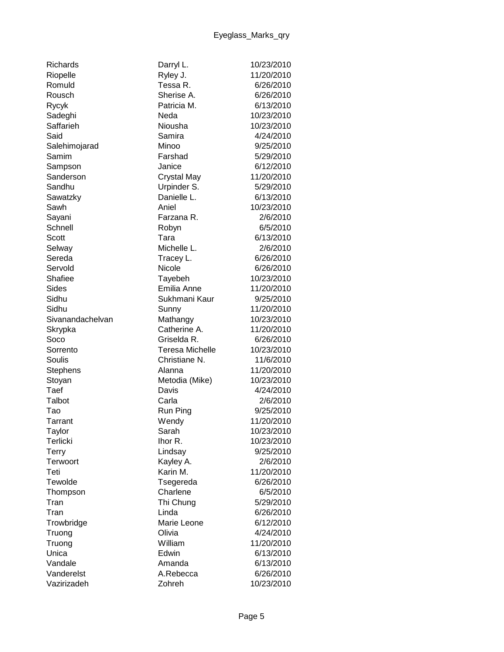| <b>Richards</b>  | Darryl L.              | 10/23/2010 |
|------------------|------------------------|------------|
| Riopelle         | Ryley J.               | 11/20/2010 |
| Romuld           | Tessa R.               | 6/26/2010  |
| Rousch           | Sherise A.             | 6/26/2010  |
| Rycyk            | Patricia M.            | 6/13/2010  |
| Sadeghi          | Neda                   | 10/23/2010 |
| Saffarieh        | Niousha                | 10/23/2010 |
| Said             | Samira                 | 4/24/2010  |
| Salehimojarad    | Minoo                  | 9/25/2010  |
| Samim            | Farshad                | 5/29/2010  |
| Sampson          | Janice                 | 6/12/2010  |
| Sanderson        | <b>Crystal May</b>     | 11/20/2010 |
| Sandhu           | Urpinder S.            | 5/29/2010  |
| Sawatzky         | Danielle L.            | 6/13/2010  |
| Sawh             | Aniel                  | 10/23/2010 |
| Sayani           | Farzana R.             | 2/6/2010   |
| Schnell          | Robyn                  | 6/5/2010   |
| Scott            | Tara                   | 6/13/2010  |
| Selway           | Michelle L.            | 2/6/2010   |
| Sereda           | Tracey L.              | 6/26/2010  |
| Servold          | Nicole                 | 6/26/2010  |
| Shafiee          | Tayebeh                | 10/23/2010 |
| Sides            | Emilia Anne            | 11/20/2010 |
| Sidhu            | Sukhmani Kaur          | 9/25/2010  |
| Sidhu            | Sunny                  | 11/20/2010 |
| Sivanandachelvan | Mathangy               | 10/23/2010 |
| Skrypka          | Catherine A.           | 11/20/2010 |
| Soco             | Griselda R.            | 6/26/2010  |
| Sorrento         | <b>Teresa Michelle</b> | 10/23/2010 |
| Soulis           | Christiane N.          | 11/6/2010  |
| <b>Stephens</b>  | Alanna                 | 11/20/2010 |
| Stoyan           | Metodia (Mike)         | 10/23/2010 |
| Taef             | Davis                  | 4/24/2010  |
| Talbot           | Carla                  | 2/6/2010   |
| Tao              | Run Ping               | 9/25/2010  |
| Tarrant          | Wendy                  | 11/20/2010 |
| Taylor           | Sarah                  | 10/23/2010 |
| Terlicki         | Ihor R.                | 10/23/2010 |
| Terry            | Lindsay                | 9/25/2010  |
| Terwoort         | Kayley A.              | 2/6/2010   |
| Teti             | Karin M.               | 11/20/2010 |
| Tewolde          | Tsegereda              | 6/26/2010  |
| Thompson         | Charlene               | 6/5/2010   |
| Tran             | Thi Chung              | 5/29/2010  |
| Tran             | Linda                  | 6/26/2010  |
| Trowbridge       | Marie Leone            | 6/12/2010  |
| Truong           | Olivia                 | 4/24/2010  |
| Truong           | William                | 11/20/2010 |
| Unica            | Edwin                  | 6/13/2010  |
| Vandale          | Amanda                 | 6/13/2010  |
| Vanderelst       | A.Rebecca              | 6/26/2010  |
| Vazirizadeh      | Zohreh                 | 10/23/2010 |
|                  |                        |            |